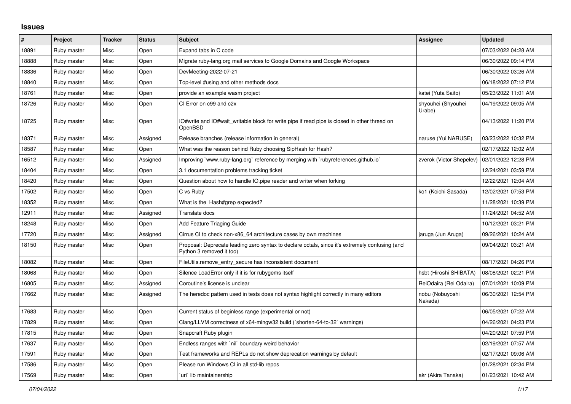## **Issues**

| $\vert$ # | Project     | <b>Tracker</b> | <b>Status</b> | <b>Subject</b>                                                                                                             | Assignee                     | <b>Updated</b>      |
|-----------|-------------|----------------|---------------|----------------------------------------------------------------------------------------------------------------------------|------------------------------|---------------------|
| 18891     | Ruby master | Misc           | Open          | Expand tabs in C code                                                                                                      |                              | 07/03/2022 04:28 AM |
| 18888     | Ruby master | Misc           | Open          | Migrate ruby-lang.org mail services to Google Domains and Google Workspace                                                 |                              | 06/30/2022 09:14 PM |
| 18836     | Ruby master | Misc           | Open          | DevMeeting-2022-07-21                                                                                                      |                              | 06/30/2022 03:26 AM |
| 18840     | Ruby master | Misc           | Open          | Top-level #using and other methods docs                                                                                    |                              | 06/18/2022 07:12 PM |
| 18761     | Ruby master | Misc           | Open          | provide an example wasm project                                                                                            | katei (Yuta Saito)           | 05/23/2022 11:01 AM |
| 18726     | Ruby master | Misc           | Open          | CI Error on c99 and c2x                                                                                                    | shyouhei (Shyouhei<br>Urabe) | 04/19/2022 09:05 AM |
| 18725     | Ruby master | Misc           | Open          | IO#write and IO#wait writable block for write pipe if read pipe is closed in other thread on<br>OpenBSD                    |                              | 04/13/2022 11:20 PM |
| 18371     | Ruby master | Misc           | Assigned      | Release branches (release information in general)                                                                          | naruse (Yui NARUSE)          | 03/23/2022 10:32 PM |
| 18587     | Ruby master | Misc           | Open          | What was the reason behind Ruby choosing SipHash for Hash?                                                                 |                              | 02/17/2022 12:02 AM |
| 16512     | Ruby master | Misc           | Assigned      | Improving `www.ruby-lang.org` reference by merging with `rubyreferences.github.io`                                         | zverok (Victor Shepelev)     | 02/01/2022 12:28 PM |
| 18404     | Ruby master | Misc           | Open          | 3.1 documentation problems tracking ticket                                                                                 |                              | 12/24/2021 03:59 PM |
| 18420     | Ruby master | Misc           | Open          | Question about how to handle IO.pipe reader and writer when forking                                                        |                              | 12/22/2021 12:04 AM |
| 17502     | Ruby master | Misc           | Open          | C vs Ruby                                                                                                                  | ko1 (Koichi Sasada)          | 12/02/2021 07:53 PM |
| 18352     | Ruby master | Misc           | Open          | What is the Hash#grep expected?                                                                                            |                              | 11/28/2021 10:39 PM |
| 12911     | Ruby master | Misc           | Assigned      | Translate docs                                                                                                             |                              | 11/24/2021 04:52 AM |
| 18248     | Ruby master | Misc           | Open          | <b>Add Feature Triaging Guide</b>                                                                                          |                              | 10/12/2021 03:21 PM |
| 17720     | Ruby master | Misc           | Assigned      | Cirrus CI to check non-x86_64 architecture cases by own machines                                                           | jaruga (Jun Aruga)           | 09/26/2021 10:24 AM |
| 18150     | Ruby master | Misc           | Open          | Proposal: Deprecate leading zero syntax to declare octals, since it's extremely confusing (and<br>Python 3 removed it too) |                              | 09/04/2021 03:21 AM |
| 18082     | Ruby master | Misc           | Open          | FileUtils.remove entry secure has inconsistent document                                                                    |                              | 08/17/2021 04:26 PM |
| 18068     | Ruby master | Misc           | Open          | Silence LoadError only if it is for rubygems itself                                                                        | hsbt (Hiroshi SHIBATA)       | 08/08/2021 02:21 PM |
| 16805     | Ruby master | Misc           | Assigned      | Coroutine's license is unclear                                                                                             | ReiOdaira (Rei Odaira)       | 07/01/2021 10:09 PM |
| 17662     | Ruby master | Misc           | Assigned      | The heredoc pattern used in tests does not syntax highlight correctly in many editors                                      | nobu (Nobuyoshi<br>Nakada)   | 06/30/2021 12:54 PM |
| 17683     | Ruby master | Misc           | Open          | Current status of beginless range (experimental or not)                                                                    |                              | 06/05/2021 07:22 AM |
| 17829     | Ruby master | Misc           | Open          | Clang/LLVM correctness of x64-mingw32 build (`shorten-64-to-32` warnings)                                                  |                              | 04/26/2021 04:23 PM |
| 17815     | Ruby master | Misc           | Open          | Snapcraft Ruby plugin                                                                                                      |                              | 04/20/2021 07:59 PM |
| 17637     | Ruby master | Misc           | Open          | Endless ranges with `nil` boundary weird behavior                                                                          |                              | 02/19/2021 07:57 AM |
| 17591     | Ruby master | Misc           | Open          | Test frameworks and REPLs do not show deprecation warnings by default                                                      |                              | 02/17/2021 09:06 AM |
| 17586     | Ruby master | Misc           | Open          | Please run Windows CI in all std-lib repos                                                                                 |                              | 01/28/2021 02:34 PM |
| 17569     | Ruby master | Misc           | Open          | uri lib maintainership                                                                                                     | akr (Akira Tanaka)           | 01/23/2021 10:42 AM |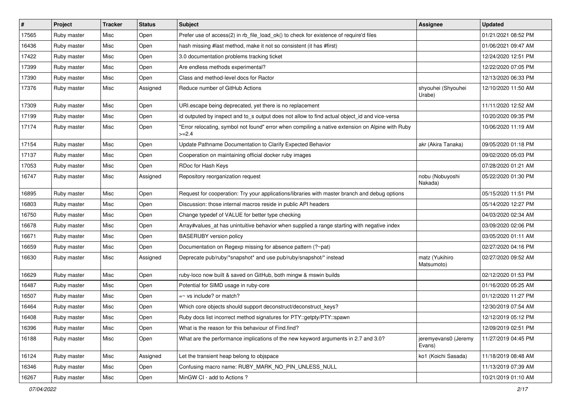| $\vert$ # | Project     | <b>Tracker</b> | <b>Status</b> | Subject                                                                                                     | Assignee                       | <b>Updated</b>      |
|-----------|-------------|----------------|---------------|-------------------------------------------------------------------------------------------------------------|--------------------------------|---------------------|
| 17565     | Ruby master | Misc           | Open          | Prefer use of access(2) in rb_file_load_ok() to check for existence of require'd files                      |                                | 01/21/2021 08:52 PM |
| 16436     | Ruby master | Misc           | Open          | hash missing #last method, make it not so consistent (it has #first)                                        |                                | 01/06/2021 09:47 AM |
| 17422     | Ruby master | Misc           | Open          | 3.0 documentation problems tracking ticket                                                                  |                                | 12/24/2020 12:51 PM |
| 17399     | Ruby master | Misc           | Open          | Are endless methods experimental?                                                                           |                                | 12/22/2020 07:05 PM |
| 17390     | Ruby master | Misc           | Open          | Class and method-level docs for Ractor                                                                      |                                | 12/13/2020 06:33 PM |
| 17376     | Ruby master | Misc           | Assigned      | Reduce number of GitHub Actions                                                                             | shyouhei (Shyouhei<br>Urabe)   | 12/10/2020 11:50 AM |
| 17309     | Ruby master | Misc           | Open          | URI.escape being deprecated, yet there is no replacement                                                    |                                | 11/11/2020 12:52 AM |
| 17199     | Ruby master | Misc           | Open          | id outputed by inspect and to_s output does not allow to find actual object_id and vice-versa               |                                | 10/20/2020 09:35 PM |
| 17174     | Ruby master | Misc           | Open          | 'Error relocating, symbol not found" error when compiling a native extension on Alpine with Ruby<br>$>=2.4$ |                                | 10/06/2020 11:19 AM |
| 17154     | Ruby master | Misc           | Open          | Update Pathname Documentation to Clarify Expected Behavior                                                  | akr (Akira Tanaka)             | 09/05/2020 01:18 PM |
| 17137     | Ruby master | Misc           | Open          | Cooperation on maintaining official docker ruby images                                                      |                                | 09/02/2020 05:03 PM |
| 17053     | Ruby master | Misc           | Open          | RDoc for Hash Keys                                                                                          |                                | 07/28/2020 01:21 AM |
| 16747     | Ruby master | Misc           | Assigned      | Repository reorganization request                                                                           | nobu (Nobuyoshi<br>Nakada)     | 05/22/2020 01:30 PM |
| 16895     | Ruby master | Misc           | Open          | Request for cooperation: Try your applications/libraries with master branch and debug options               |                                | 05/15/2020 11:51 PM |
| 16803     | Ruby master | Misc           | Open          | Discussion: those internal macros reside in public API headers                                              |                                | 05/14/2020 12:27 PM |
| 16750     | Ruby master | Misc           | Open          | Change typedef of VALUE for better type checking                                                            |                                | 04/03/2020 02:34 AM |
| 16678     | Ruby master | Misc           | Open          | Array#values_at has unintuitive behavior when supplied a range starting with negative index                 |                                | 03/09/2020 02:06 PM |
| 16671     | Ruby master | Misc           | Open          | <b>BASERUBY</b> version policy                                                                              |                                | 03/05/2020 01:11 AM |
| 16659     | Ruby master | Misc           | Open          | Documentation on Regexp missing for absence pattern (?~pat)                                                 |                                | 02/27/2020 04:16 PM |
| 16630     | Ruby master | Misc           | Assigned      | Deprecate pub/ruby/*snapshot* and use pub/ruby/snapshot/* instead                                           | matz (Yukihiro<br>Matsumoto)   | 02/27/2020 09:52 AM |
| 16629     | Ruby master | Misc           | Open          | ruby-loco now built & saved on GitHub, both mingw & mswin builds                                            |                                | 02/12/2020 01:53 PM |
| 16487     | Ruby master | Misc           | Open          | Potential for SIMD usage in ruby-core                                                                       |                                | 01/16/2020 05:25 AM |
| 16507     | Ruby master | Misc           | Open          | $=$ vs include? or match?                                                                                   |                                | 01/12/2020 11:27 PM |
| 16464     | Ruby master | Misc           | Open          | Which core objects should support deconstruct/deconstruct_keys?                                             |                                | 12/30/2019 07:54 AM |
| 16408     | Ruby master | Misc           | Open          | Ruby docs list incorrect method signatures for PTY::getpty/PTY::spawn                                       |                                | 12/12/2019 05:12 PM |
| 16396     | Ruby master | Misc           | Open          | What is the reason for this behaviour of Find.find?                                                         |                                | 12/09/2019 02:51 PM |
| 16188     | Ruby master | Misc           | Open          | What are the performance implications of the new keyword arguments in 2.7 and 3.0?                          | jeremyevans0 (Jeremy<br>Evans) | 11/27/2019 04:45 PM |
| 16124     | Ruby master | Misc           | Assigned      | Let the transient heap belong to objspace                                                                   | ko1 (Koichi Sasada)            | 11/18/2019 08:48 AM |
| 16346     | Ruby master | Misc           | Open          | Confusing macro name: RUBY_MARK_NO_PIN_UNLESS_NULL                                                          |                                | 11/13/2019 07:39 AM |
| 16267     | Ruby master | Misc           | Open          | MinGW CI - add to Actions ?                                                                                 |                                | 10/21/2019 01:10 AM |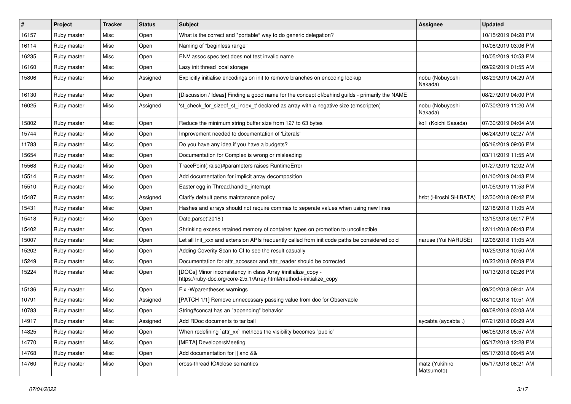| $\sharp$ | Project     | <b>Tracker</b> | <b>Status</b> | <b>Subject</b>                                                                                                                      | <b>Assignee</b>              | <b>Updated</b>      |
|----------|-------------|----------------|---------------|-------------------------------------------------------------------------------------------------------------------------------------|------------------------------|---------------------|
| 16157    | Ruby master | Misc           | Open          | What is the correct and *portable* way to do generic delegation?                                                                    |                              | 10/15/2019 04:28 PM |
| 16114    | Ruby master | Misc           | Open          | Naming of "beginless range"                                                                                                         |                              | 10/08/2019 03:06 PM |
| 16235    | Ruby master | Misc           | Open          | ENV assoc spec test does not test invalid name                                                                                      |                              | 10/05/2019 10:53 PM |
| 16160    | Ruby master | Misc           | Open          | Lazy init thread local storage                                                                                                      |                              | 09/22/2019 01:55 AM |
| 15806    | Ruby master | Misc           | Assigned      | Explicitly initialise encodings on init to remove branches on encoding lookup                                                       | nobu (Nobuyoshi<br>Nakada)   | 08/29/2019 04:29 AM |
| 16130    | Ruby master | Misc           | Open          | [Discussion / Ideas] Finding a good name for the concept of/behind guilds - primarily the NAME                                      |                              | 08/27/2019 04:00 PM |
| 16025    | Ruby master | Misc           | Assigned      | 'st_check_for_sizeof_st_index_t' declared as array with a negative size (emscripten)                                                | nobu (Nobuyoshi<br>Nakada)   | 07/30/2019 11:20 AM |
| 15802    | Ruby master | Misc           | Open          | Reduce the minimum string buffer size from 127 to 63 bytes                                                                          | ko1 (Koichi Sasada)          | 07/30/2019 04:04 AM |
| 15744    | Ruby master | Misc           | Open          | Improvement needed to documentation of 'Literals'                                                                                   |                              | 06/24/2019 02:27 AM |
| 11783    | Ruby master | Misc           | Open          | Do you have any idea if you have a budgets?                                                                                         |                              | 05/16/2019 09:06 PM |
| 15654    | Ruby master | Misc           | Open          | Documentation for Complex is wrong or misleading                                                                                    |                              | 03/11/2019 11:55 AM |
| 15568    | Ruby master | Misc           | Open          | TracePoint(:raise)#parameters raises RuntimeError                                                                                   |                              | 01/27/2019 12:02 AM |
| 15514    | Ruby master | Misc           | Open          | Add documentation for implicit array decomposition                                                                                  |                              | 01/10/2019 04:43 PM |
| 15510    | Ruby master | Misc           | Open          | Easter egg in Thread.handle_interrupt                                                                                               |                              | 01/05/2019 11:53 PM |
| 15487    | Ruby master | Misc           | Assigned      | Clarify default gems maintanance policy                                                                                             | hsbt (Hiroshi SHIBATA)       | 12/30/2018 08:42 PM |
| 15431    | Ruby master | Misc           | Open          | Hashes and arrays should not require commas to seperate values when using new lines                                                 |                              | 12/18/2018 11:05 AM |
| 15418    | Ruby master | Misc           | Open          | Date.parse('2018')                                                                                                                  |                              | 12/15/2018 09:17 PM |
| 15402    | Ruby master | Misc           | Open          | Shrinking excess retained memory of container types on promotion to uncollectible                                                   |                              | 12/11/2018 08:43 PM |
| 15007    | Ruby master | Misc           | Open          | Let all Init xxx and extension APIs frequently called from init code paths be considered cold                                       | naruse (Yui NARUSE)          | 12/06/2018 11:05 AM |
| 15202    | Ruby master | Misc           | Open          | Adding Coverity Scan to CI to see the result casually                                                                               |                              | 10/25/2018 10:50 AM |
| 15249    | Ruby master | Misc           | Open          | Documentation for attr_accessor and attr_reader should be corrected                                                                 |                              | 10/23/2018 08:09 PM |
| 15224    | Ruby master | Misc           | Open          | [DOCs] Minor inconsistency in class Array #initialize_copy -<br>https://ruby-doc.org/core-2.5.1/Array.html#method-i-initialize_copy |                              | 10/13/2018 02:26 PM |
| 15136    | Ruby master | Misc           | Open          | Fix - Wparentheses warnings                                                                                                         |                              | 09/20/2018 09:41 AM |
| 10791    | Ruby master | Misc           | Assigned      | [PATCH 1/1] Remove unnecessary passing value from doc for Observable                                                                |                              | 08/10/2018 10:51 AM |
| 10783    | Ruby master | Misc           | Open          | String#concat has an "appending" behavior                                                                                           |                              | 08/08/2018 03:08 AM |
| 14917    | Ruby master | Misc           | Assigned      | Add RDoc documents to tar ball                                                                                                      | aycabta (aycabta .)          | 07/21/2018 09:29 AM |
| 14825    | Ruby master | Misc           | Open          | When redefining 'attr_xx' methods the visibility becomes 'public'                                                                   |                              | 06/05/2018 05:57 AM |
| 14770    | Ruby master | Misc           | Open          | [META] DevelopersMeeting                                                                                                            |                              | 05/17/2018 12:28 PM |
| 14768    | Ruby master | Misc           | Open          | Add documentation for    and &&                                                                                                     |                              | 05/17/2018 09:45 AM |
| 14760    | Ruby master | Misc           | Open          | cross-thread IO#close semantics                                                                                                     | matz (Yukihiro<br>Matsumoto) | 05/17/2018 08:21 AM |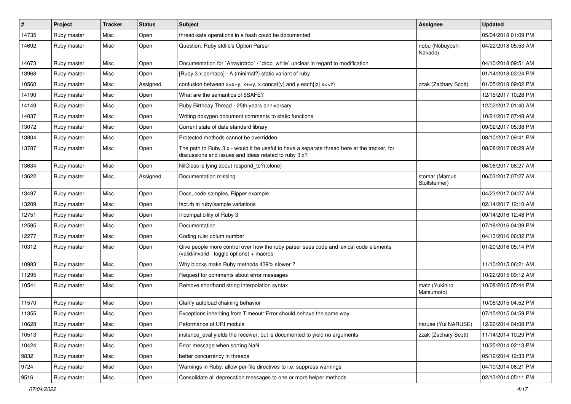| #     | Project     | <b>Tracker</b> | <b>Status</b> | <b>Subject</b>                                                                                                                                        | <b>Assignee</b>                 | <b>Updated</b>      |
|-------|-------------|----------------|---------------|-------------------------------------------------------------------------------------------------------------------------------------------------------|---------------------------------|---------------------|
| 14735 | Ruby master | Misc           | Open          | thread-safe operations in a hash could be documented                                                                                                  |                                 | 05/04/2018 01:09 PM |
| 14692 | Ruby master | Misc           | Open          | Question: Ruby stdlib's Option Parser                                                                                                                 | nobu (Nobuyoshi<br>Nakada)      | 04/22/2018 05:53 AM |
| 14673 | Ruby master | Misc           | Open          | Documentation for `Array#drop` / `drop_while` unclear in regard to modification                                                                       |                                 | 04/10/2018 09:51 AM |
| 13968 | Ruby master | Misc           | Open          | [Ruby 3.x perhaps] - A (minimal?) static variant of ruby                                                                                              |                                 | 01/14/2018 03:24 PM |
| 10560 | Ruby master | Misc           | Assigned      | confusion between $x=x+y$ , $x+=y$ , x.concat(y) and y.each{ z  $x<}$                                                                                 | zzak (Zachary Scott)            | 01/05/2018 09:02 PM |
| 14190 | Ruby master | Misc           | Open          | What are the semantics of \$SAFE?                                                                                                                     |                                 | 12/15/2017 10:28 PM |
| 14149 | Ruby master | Misc           | Open          | Ruby Birthday Thread - 25th years anniversary                                                                                                         |                                 | 12/02/2017 01:40 AM |
| 14037 | Ruby master | Misc           | Open          | Writing doxygen document comments to static functions                                                                                                 |                                 | 10/21/2017 07:48 AM |
| 13072 | Ruby master | Misc           | Open          | Current state of date standard library                                                                                                                |                                 | 09/02/2017 05:38 PM |
| 13804 | Ruby master | Misc           | Open          | Protected methods cannot be overridden                                                                                                                |                                 | 08/10/2017 09:41 PM |
| 13787 | Ruby master | Misc           | Open          | The path to Ruby 3.x - would it be useful to have a separate thread here at the tracker, for<br>discussions and issues and ideas related to ruby 3.x? |                                 | 08/08/2017 08:29 AM |
| 13634 | Ruby master | Misc           | Open          | NilClass is lying about respond to?(:clone)                                                                                                           |                                 | 06/06/2017 08:27 AM |
| 13622 | Ruby master | Misc           | Assigned      | Documentation missing                                                                                                                                 | stomar (Marcus<br>Stollsteimer) | 06/03/2017 07:27 AM |
| 13497 | Ruby master | Misc           | Open          | Docs, code samples, Ripper example                                                                                                                    |                                 | 04/23/2017 04:27 AM |
| 13209 | Ruby master | Misc           | Open          | fact.rb in ruby/sample variations                                                                                                                     |                                 | 02/14/2017 12:10 AM |
| 12751 | Ruby master | Misc           | Open          | Incompatibility of Ruby 3                                                                                                                             |                                 | 09/14/2016 12:48 PM |
| 12595 | Ruby master | Misc           | Open          | Documentation                                                                                                                                         |                                 | 07/18/2016 04:39 PM |
| 12277 | Ruby master | Misc           | Open          | Coding rule: colum number                                                                                                                             |                                 | 04/13/2016 06:32 PM |
| 10312 | Ruby master | Misc           | Open          | Give people more control over how the ruby parser sees code and lexical code elements<br>(valid/invalid - toggle options) + macros                    |                                 | 01/20/2016 05:14 PM |
| 10983 | Ruby master | Misc           | Open          | Why blocks make Ruby methods 439% slower?                                                                                                             |                                 | 11/10/2015 06:21 AM |
| 11295 | Ruby master | Misc           | Open          | Request for comments about error messages                                                                                                             |                                 | 10/22/2015 09:12 AM |
| 10541 | Ruby master | Misc           | Open          | Remove shorthand string interpolation syntax                                                                                                          | matz (Yukihiro<br>Matsumoto)    | 10/08/2015 05:44 PM |
| 11570 | Ruby master | Misc           | Open          | Clarify autoload chaining behavior                                                                                                                    |                                 | 10/06/2015 04:52 PM |
| 11355 | Ruby master | Misc           | Open          | Exceptions inheriting from Timeout:: Error should behave the same way                                                                                 |                                 | 07/15/2015 04:59 PM |
| 10628 | Ruby master | Misc           | Open          | Peformance of URI module                                                                                                                              | naruse (Yui NARUSE)             | 12/26/2014 04:08 PM |
| 10513 | Ruby master | Misc           | Open          | instance_eval yields the receiver, but is documented to yield no arguments                                                                            | zzak (Zachary Scott)            | 11/14/2014 10:29 PM |
| 10424 | Ruby master | Misc           | Open          | Error message when sorting NaN                                                                                                                        |                                 | 10/25/2014 02:13 PM |
| 9832  | Ruby master | Misc           | Open          | better concurrency in threads                                                                                                                         |                                 | 05/12/2014 12:33 PM |
| 9724  | Ruby master | Misc           | Open          | Warnings in Ruby: allow per-file directives to i.e. suppress warnings                                                                                 |                                 | 04/10/2014 06:21 PM |
| 9516  | Ruby master | Misc           | Open          | Consolidate all deprecation messages to one or more helper methods                                                                                    |                                 | 02/13/2014 05:11 PM |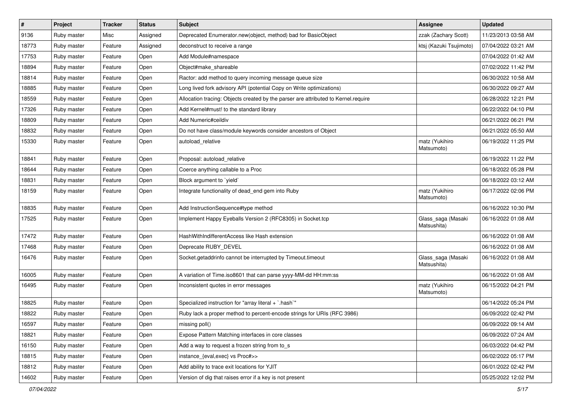| $\vert$ # | Project     | <b>Tracker</b> | <b>Status</b> | <b>Subject</b>                                                                     | <b>Assignee</b>                   | <b>Updated</b>      |
|-----------|-------------|----------------|---------------|------------------------------------------------------------------------------------|-----------------------------------|---------------------|
| 9136      | Ruby master | Misc           | Assigned      | Deprecated Enumerator.new(object, method) bad for BasicObject                      | zzak (Zachary Scott)              | 11/23/2013 03:58 AM |
| 18773     | Ruby master | Feature        | Assigned      | deconstruct to receive a range                                                     | ktsj (Kazuki Tsujimoto)           | 07/04/2022 03:21 AM |
| 17753     | Ruby master | Feature        | Open          | Add Module#namespace                                                               |                                   | 07/04/2022 01:42 AM |
| 18894     | Ruby master | Feature        | Open          | Object#make_shareable                                                              |                                   | 07/02/2022 11:42 PM |
| 18814     | Ruby master | Feature        | Open          | Ractor: add method to query incoming message queue size                            |                                   | 06/30/2022 10:58 AM |
| 18885     | Ruby master | Feature        | Open          | Long lived fork advisory API (potential Copy on Write optimizations)               |                                   | 06/30/2022 09:27 AM |
| 18559     | Ruby master | Feature        | Open          | Allocation tracing: Objects created by the parser are attributed to Kernel.require |                                   | 06/28/2022 12:21 PM |
| 17326     | Ruby master | Feature        | Open          | Add Kernel#must! to the standard library                                           |                                   | 06/22/2022 04:10 PM |
| 18809     | Ruby master | Feature        | Open          | Add Numeric#ceildiv                                                                |                                   | 06/21/2022 06:21 PM |
| 18832     | Ruby master | Feature        | Open          | Do not have class/module keywords consider ancestors of Object                     |                                   | 06/21/2022 05:50 AM |
| 15330     | Ruby master | Feature        | Open          | autoload relative                                                                  | matz (Yukihiro<br>Matsumoto)      | 06/19/2022 11:25 PM |
| 18841     | Ruby master | Feature        | Open          | Proposal: autoload relative                                                        |                                   | 06/19/2022 11:22 PM |
| 18644     | Ruby master | Feature        | Open          | Coerce anything callable to a Proc                                                 |                                   | 06/18/2022 05:28 PM |
| 18831     | Ruby master | Feature        | Open          | Block argument to 'yield'                                                          |                                   | 06/18/2022 03:12 AM |
| 18159     | Ruby master | Feature        | Open          | Integrate functionality of dead_end gem into Ruby                                  | matz (Yukihiro<br>Matsumoto)      | 06/17/2022 02:06 PM |
| 18835     | Ruby master | Feature        | Open          | Add InstructionSequence#type method                                                |                                   | 06/16/2022 10:30 PM |
| 17525     | Ruby master | Feature        | Open          | Implement Happy Eyeballs Version 2 (RFC8305) in Socket.tcp                         | Glass_saga (Masaki<br>Matsushita) | 06/16/2022 01:08 AM |
| 17472     | Ruby master | Feature        | Open          | HashWithIndifferentAccess like Hash extension                                      |                                   | 06/16/2022 01:08 AM |
| 17468     | Ruby master | Feature        | Open          | Deprecate RUBY_DEVEL                                                               |                                   | 06/16/2022 01:08 AM |
| 16476     | Ruby master | Feature        | Open          | Socket.getaddrinfo cannot be interrupted by Timeout.timeout                        | Glass_saga (Masaki<br>Matsushita) | 06/16/2022 01:08 AM |
| 16005     | Ruby master | Feature        | Open          | A variation of Time.iso8601 that can parse yyyy-MM-dd HH:mm:ss                     |                                   | 06/16/2022 01:08 AM |
| 16495     | Ruby master | Feature        | Open          | Inconsistent quotes in error messages                                              | matz (Yukihiro<br>Matsumoto)      | 06/15/2022 04:21 PM |
| 18825     | Ruby master | Feature        | Open          | Specialized instruction for "array literal + `.hash`"                              |                                   | 06/14/2022 05:24 PM |
| 18822     | Ruby master | Feature        | Open          | Ruby lack a proper method to percent-encode strings for URIs (RFC 3986)            |                                   | 06/09/2022 02:42 PM |
| 16597     | Ruby master | Feature        | Open          | missing poll()                                                                     |                                   | 06/09/2022 09:14 AM |
| 18821     | Ruby master | Feature        | Open          | Expose Pattern Matching interfaces in core classes                                 |                                   | 06/09/2022 07:24 AM |
| 16150     | Ruby master | Feature        | Open          | Add a way to request a frozen string from to_s                                     |                                   | 06/03/2022 04:42 PM |
| 18815     | Ruby master | Feature        | Open          | instance {eval,exec} vs Proc#>>                                                    |                                   | 06/02/2022 05:17 PM |
| 18812     | Ruby master | Feature        | Open          | Add ability to trace exit locations for YJIT                                       |                                   | 06/01/2022 02:42 PM |
| 14602     | Ruby master | Feature        | Open          | Version of dig that raises error if a key is not present                           |                                   | 05/25/2022 12:02 PM |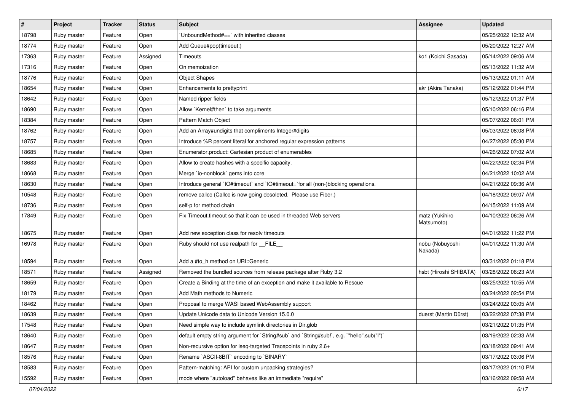| #     | Project     | <b>Tracker</b> | <b>Status</b> | <b>Subject</b>                                                                            | <b>Assignee</b>              | <b>Updated</b>      |
|-------|-------------|----------------|---------------|-------------------------------------------------------------------------------------------|------------------------------|---------------------|
| 18798 | Ruby master | Feature        | Open          | UnboundMethod#==`with inherited classes                                                   |                              | 05/25/2022 12:32 AM |
| 18774 | Ruby master | Feature        | Open          | Add Queue#pop(timeout:)                                                                   |                              | 05/20/2022 12:27 AM |
| 17363 | Ruby master | Feature        | Assigned      | <b>Timeouts</b>                                                                           | ko1 (Koichi Sasada)          | 05/14/2022 09:06 AM |
| 17316 | Ruby master | Feature        | Open          | On memoization                                                                            |                              | 05/13/2022 11:32 AM |
| 18776 | Ruby master | Feature        | Open          | <b>Object Shapes</b>                                                                      |                              | 05/13/2022 01:11 AM |
| 18654 | Ruby master | Feature        | Open          | Enhancements to prettyprint                                                               | akr (Akira Tanaka)           | 05/12/2022 01:44 PM |
| 18642 | Ruby master | Feature        | Open          | Named ripper fields                                                                       |                              | 05/12/2022 01:37 PM |
| 18690 | Ruby master | Feature        | Open          | Allow `Kernel#then` to take arguments                                                     |                              | 05/10/2022 06:16 PM |
| 18384 | Ruby master | Feature        | Open          | Pattern Match Object                                                                      |                              | 05/07/2022 06:01 PM |
| 18762 | Ruby master | Feature        | Open          | Add an Array#undigits that compliments Integer#digits                                     |                              | 05/03/2022 08:08 PM |
| 18757 | Ruby master | Feature        | Open          | Introduce %R percent literal for anchored regular expression patterns                     |                              | 04/27/2022 05:30 PM |
| 18685 | Ruby master | Feature        | Open          | Enumerator.product: Cartesian product of enumerables                                      |                              | 04/26/2022 07:02 AM |
| 18683 | Ruby master | Feature        | Open          | Allow to create hashes with a specific capacity.                                          |                              | 04/22/2022 02:34 PM |
| 18668 | Ruby master | Feature        | Open          | Merge `io-nonblock` gems into core                                                        |                              | 04/21/2022 10:02 AM |
| 18630 | Ruby master | Feature        | Open          | Introduce general `IO#timeout` and `IO#timeout=`for all (non-)blocking operations.        |                              | 04/21/2022 09:36 AM |
| 10548 | Ruby master | Feature        | Open          | remove callcc (Callcc is now going obsoleted. Please use Fiber.)                          |                              | 04/18/2022 09:07 AM |
| 18736 | Ruby master | Feature        | Open          | self-p for method chain                                                                   |                              | 04/15/2022 11:09 AM |
| 17849 | Ruby master | Feature        | Open          | Fix Timeout timeout so that it can be used in threaded Web servers                        | matz (Yukihiro<br>Matsumoto) | 04/10/2022 06:26 AM |
| 18675 | Ruby master | Feature        | Open          | Add new exception class for resolv timeouts                                               |                              | 04/01/2022 11:22 PM |
| 16978 | Ruby master | Feature        | Open          | Ruby should not use realpath for __FILE_                                                  | nobu (Nobuyoshi<br>Nakada)   | 04/01/2022 11:30 AM |
| 18594 | Ruby master | Feature        | Open          | Add a #to_h method on URI::Generic                                                        |                              | 03/31/2022 01:18 PM |
| 18571 | Ruby master | Feature        | Assigned      | Removed the bundled sources from release package after Ruby 3.2                           | hsbt (Hiroshi SHIBATA)       | 03/28/2022 06:23 AM |
| 18659 | Ruby master | Feature        | Open          | Create a Binding at the time of an exception and make it available to Rescue              |                              | 03/25/2022 10:55 AM |
| 18179 | Ruby master | Feature        | Open          | Add Math methods to Numeric                                                               |                              | 03/24/2022 02:54 PM |
| 18462 | Ruby master | Feature        | Open          | Proposal to merge WASI based WebAssembly support                                          |                              | 03/24/2022 03:05 AM |
| 18639 | Ruby master | Feature        | Open          | Update Unicode data to Unicode Version 15.0.0                                             | duerst (Martin Dürst)        | 03/22/2022 07:38 PM |
| 17548 | Ruby master | Feature        | Open          | Need simple way to include symlink directories in Dir.glob                                |                              | 03/21/2022 01:35 PM |
| 18640 | Ruby master | Feature        | Open          | default empty string argument for `String#sub` and `String#sub!`, e.g. `"hello".sub("I")` |                              | 03/19/2022 02:33 AM |
| 18647 | Ruby master | Feature        | Open          | Non-recursive option for iseq-targeted Tracepoints in ruby 2.6+                           |                              | 03/18/2022 09:41 AM |
| 18576 | Ruby master | Feature        | Open          | Rename `ASCII-8BIT` encoding to `BINARY`                                                  |                              | 03/17/2022 03:06 PM |
| 18583 | Ruby master | Feature        | Open          | Pattern-matching: API for custom unpacking strategies?                                    |                              | 03/17/2022 01:10 PM |
| 15592 | Ruby master | Feature        | Open          | mode where "autoload" behaves like an immediate "require"                                 |                              | 03/16/2022 09:58 AM |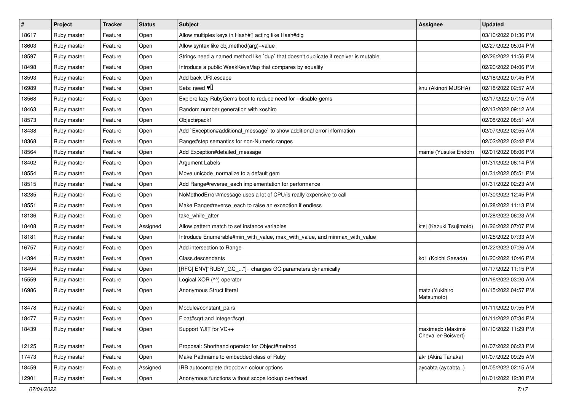| #     | Project     | <b>Tracker</b> | <b>Status</b> | <b>Subject</b>                                                                       | <b>Assignee</b>                         | <b>Updated</b>      |
|-------|-------------|----------------|---------------|--------------------------------------------------------------------------------------|-----------------------------------------|---------------------|
| 18617 | Ruby master | Feature        | Open          | Allow multiples keys in Hash#[] acting like Hash#dig                                 |                                         | 03/10/2022 01:36 PM |
| 18603 | Ruby master | Feature        | Open          | Allow syntax like obj.method(arg)=value                                              |                                         | 02/27/2022 05:04 PM |
| 18597 | Ruby master | Feature        | Open          | Strings need a named method like `dup` that doesn't duplicate if receiver is mutable |                                         | 02/26/2022 11:56 PM |
| 18498 | Ruby master | Feature        | Open          | Introduce a public WeakKeysMap that compares by equality                             |                                         | 02/20/2022 04:06 PM |
| 18593 | Ruby master | Feature        | Open          | Add back URI.escape                                                                  |                                         | 02/18/2022 07:45 PM |
| 16989 | Ruby master | Feature        | Open          | Sets: need $\Psi$                                                                    | knu (Akinori MUSHA)                     | 02/18/2022 02:57 AM |
| 18568 | Ruby master | Feature        | Open          | Explore lazy RubyGems boot to reduce need for --disable-gems                         |                                         | 02/17/2022 07:15 AM |
| 18463 | Ruby master | Feature        | Open          | Random number generation with xoshiro                                                |                                         | 02/13/2022 09:12 AM |
| 18573 | Ruby master | Feature        | Open          | Object#pack1                                                                         |                                         | 02/08/2022 08:51 AM |
| 18438 | Ruby master | Feature        | Open          | Add `Exception#additional_message` to show additional error information              |                                         | 02/07/2022 02:55 AM |
| 18368 | Ruby master | Feature        | Open          | Range#step semantics for non-Numeric ranges                                          |                                         | 02/02/2022 03:42 PM |
| 18564 | Ruby master | Feature        | Open          | Add Exception#detailed_message                                                       | mame (Yusuke Endoh)                     | 02/01/2022 08:06 PM |
| 18402 | Ruby master | Feature        | Open          | <b>Argument Labels</b>                                                               |                                         | 01/31/2022 06:14 PM |
| 18554 | Ruby master | Feature        | Open          | Move unicode_normalize to a default gem                                              |                                         | 01/31/2022 05:51 PM |
| 18515 | Ruby master | Feature        | Open          | Add Range#reverse_each implementation for performance                                |                                         | 01/31/2022 02:23 AM |
| 18285 | Ruby master | Feature        | Open          | NoMethodError#message uses a lot of CPU/is really expensive to call                  |                                         | 01/30/2022 12:45 PM |
| 18551 | Ruby master | Feature        | Open          | Make Range#reverse_each to raise an exception if endless                             |                                         | 01/28/2022 11:13 PM |
| 18136 | Ruby master | Feature        | Open          | take_while_after                                                                     |                                         | 01/28/2022 06:23 AM |
| 18408 | Ruby master | Feature        | Assigned      | Allow pattern match to set instance variables                                        | ktsj (Kazuki Tsujimoto)                 | 01/26/2022 07:07 PM |
| 18181 | Ruby master | Feature        | Open          | Introduce Enumerable#min_with_value, max_with_value, and minmax_with_value           |                                         | 01/25/2022 07:33 AM |
| 16757 | Ruby master | Feature        | Open          | Add intersection to Range                                                            |                                         | 01/22/2022 07:26 AM |
| 14394 | Ruby master | Feature        | Open          | Class.descendants                                                                    | ko1 (Koichi Sasada)                     | 01/20/2022 10:46 PM |
| 18494 | Ruby master | Feature        | Open          | [RFC] ENV["RUBY_GC_"]= changes GC parameters dynamically                             |                                         | 01/17/2022 11:15 PM |
| 15559 | Ruby master | Feature        | Open          | Logical XOR (^^) operator                                                            |                                         | 01/16/2022 03:20 AM |
| 16986 | Ruby master | Feature        | Open          | Anonymous Struct literal                                                             | matz (Yukihiro<br>Matsumoto)            | 01/15/2022 04:57 PM |
| 18478 | Ruby master | Feature        | Open          | Module#constant pairs                                                                |                                         | 01/11/2022 07:55 PM |
| 18477 | Ruby master | Feature        | Open          | Float#sqrt and Integer#sqrt                                                          |                                         | 01/11/2022 07:34 PM |
| 18439 | Ruby master | Feature        | Open          | Support YJIT for VC++                                                                | maximecb (Maxime<br>Chevalier-Boisvert) | 01/10/2022 11:29 PM |
| 12125 | Ruby master | Feature        | Open          | Proposal: Shorthand operator for Object#method                                       |                                         | 01/07/2022 06:23 PM |
| 17473 | Ruby master | Feature        | Open          | Make Pathname to embedded class of Ruby                                              | akr (Akira Tanaka)                      | 01/07/2022 09:25 AM |
| 18459 | Ruby master | Feature        | Assigned      | IRB autocomplete dropdown colour options                                             | aycabta (aycabta.)                      | 01/05/2022 02:15 AM |
| 12901 | Ruby master | Feature        | Open          | Anonymous functions without scope lookup overhead                                    |                                         | 01/01/2022 12:30 PM |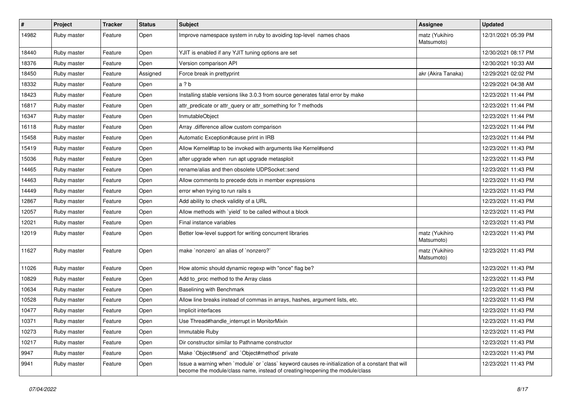| $\sharp$ | Project     | <b>Tracker</b> | <b>Status</b> | <b>Subject</b>                                                                                                                                                                    | <b>Assignee</b>              | <b>Updated</b>      |
|----------|-------------|----------------|---------------|-----------------------------------------------------------------------------------------------------------------------------------------------------------------------------------|------------------------------|---------------------|
| 14982    | Ruby master | Feature        | Open          | Improve namespace system in ruby to avoiding top-level names chaos                                                                                                                | matz (Yukihiro<br>Matsumoto) | 12/31/2021 05:39 PM |
| 18440    | Ruby master | Feature        | Open          | YJIT is enabled if any YJIT tuning options are set                                                                                                                                |                              | 12/30/2021 08:17 PM |
| 18376    | Ruby master | Feature        | Open          | Version comparison API                                                                                                                                                            |                              | 12/30/2021 10:33 AM |
| 18450    | Ruby master | Feature        | Assigned      | Force break in prettyprint                                                                                                                                                        | akr (Akira Tanaka)           | 12/29/2021 02:02 PM |
| 18332    | Ruby master | Feature        | Open          | a ? b                                                                                                                                                                             |                              | 12/29/2021 04:38 AM |
| 18423    | Ruby master | Feature        | Open          | Installing stable versions like 3.0.3 from source generates fatal error by make                                                                                                   |                              | 12/23/2021 11:44 PM |
| 16817    | Ruby master | Feature        | Open          | attr_predicate or attr_query or attr_something for ? methods                                                                                                                      |                              | 12/23/2021 11:44 PM |
| 16347    | Ruby master | Feature        | Open          | InmutableObject                                                                                                                                                                   |                              | 12/23/2021 11:44 PM |
| 16118    | Ruby master | Feature        | Open          | Array .difference allow custom comparison                                                                                                                                         |                              | 12/23/2021 11:44 PM |
| 15458    | Ruby master | Feature        | Open          | Automatic Exception#cause print in IRB                                                                                                                                            |                              | 12/23/2021 11:44 PM |
| 15419    | Ruby master | Feature        | Open          | Allow Kernel#tap to be invoked with arguments like Kernel#send                                                                                                                    |                              | 12/23/2021 11:43 PM |
| 15036    | Ruby master | Feature        | Open          | after upgrade when run apt upgrade metasploit                                                                                                                                     |                              | 12/23/2021 11:43 PM |
| 14465    | Ruby master | Feature        | Open          | rename/alias and then obsolete UDPSocket::send                                                                                                                                    |                              | 12/23/2021 11:43 PM |
| 14463    | Ruby master | Feature        | Open          | Allow comments to precede dots in member expressions                                                                                                                              |                              | 12/23/2021 11:43 PM |
| 14449    | Ruby master | Feature        | Open          | error when trying to run rails s                                                                                                                                                  |                              | 12/23/2021 11:43 PM |
| 12867    | Ruby master | Feature        | Open          | Add ability to check validity of a URL                                                                                                                                            |                              | 12/23/2021 11:43 PM |
| 12057    | Ruby master | Feature        | Open          | Allow methods with `yield` to be called without a block                                                                                                                           |                              | 12/23/2021 11:43 PM |
| 12021    | Ruby master | Feature        | Open          | Final instance variables                                                                                                                                                          |                              | 12/23/2021 11:43 PM |
| 12019    | Ruby master | Feature        | Open          | Better low-level support for writing concurrent libraries                                                                                                                         | matz (Yukihiro<br>Matsumoto) | 12/23/2021 11:43 PM |
| 11627    | Ruby master | Feature        | Open          | make `nonzero` an alias of `nonzero?`                                                                                                                                             | matz (Yukihiro<br>Matsumoto) | 12/23/2021 11:43 PM |
| 11026    | Ruby master | Feature        | Open          | How atomic should dynamic regexp with "once" flag be?                                                                                                                             |                              | 12/23/2021 11:43 PM |
| 10829    | Ruby master | Feature        | Open          | Add to_proc method to the Array class                                                                                                                                             |                              | 12/23/2021 11:43 PM |
| 10634    | Ruby master | Feature        | Open          | Baselining with Benchmark                                                                                                                                                         |                              | 12/23/2021 11:43 PM |
| 10528    | Ruby master | Feature        | Open          | Allow line breaks instead of commas in arrays, hashes, argument lists, etc.                                                                                                       |                              | 12/23/2021 11:43 PM |
| 10477    | Ruby master | Feature        | Open          | Implicit interfaces                                                                                                                                                               |                              | 12/23/2021 11:43 PM |
| 10371    | Ruby master | Feature        | Open          | Use Thread#handle_interrupt in MonitorMixin                                                                                                                                       |                              | 12/23/2021 11:43 PM |
| 10273    | Ruby master | Feature        | Open          | Immutable Ruby                                                                                                                                                                    |                              | 12/23/2021 11:43 PM |
| 10217    | Ruby master | Feature        | Open          | Dir constructor similar to Pathname constructor                                                                                                                                   |                              | 12/23/2021 11:43 PM |
| 9947     | Ruby master | Feature        | Open          | Make `Object#send` and `Object#method` private                                                                                                                                    |                              | 12/23/2021 11:43 PM |
| 9941     | Ruby master | Feature        | Open          | Issue a warning when `module` or `class` keyword causes re-initialization of a constant that will<br>become the module/class name, instead of creating/reopening the module/class |                              | 12/23/2021 11:43 PM |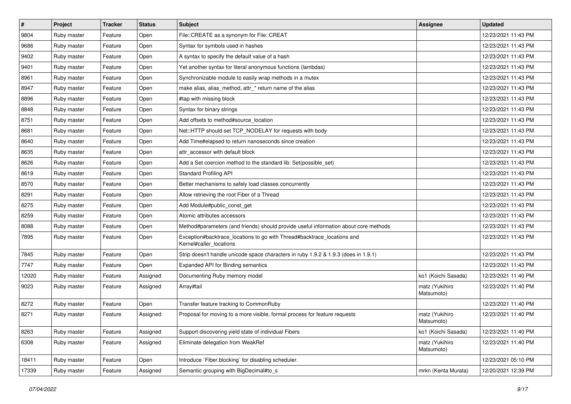| $\vert$ # | Project     | <b>Tracker</b> | <b>Status</b> | <b>Subject</b>                                                                                     | Assignee                     | <b>Updated</b>      |
|-----------|-------------|----------------|---------------|----------------------------------------------------------------------------------------------------|------------------------------|---------------------|
| 9804      | Ruby master | Feature        | Open          | File::CREATE as a synonym for File::CREAT                                                          |                              | 12/23/2021 11:43 PM |
| 9686      | Ruby master | Feature        | Open          | Syntax for symbols used in hashes                                                                  |                              | 12/23/2021 11:43 PM |
| 9402      | Ruby master | Feature        | Open          | A syntax to specify the default value of a hash                                                    |                              | 12/23/2021 11:43 PM |
| 9401      | Ruby master | Feature        | Open          | Yet another syntax for literal anonymous functions (lambdas)                                       |                              | 12/23/2021 11:43 PM |
| 8961      | Ruby master | Feature        | Open          | Synchronizable module to easily wrap methods in a mutex                                            |                              | 12/23/2021 11:43 PM |
| 8947      | Ruby master | Feature        | Open          | make alias, alias_method, attr_* return name of the alias                                          |                              | 12/23/2021 11:43 PM |
| 8896      | Ruby master | Feature        | Open          | #tap with missing block                                                                            |                              | 12/23/2021 11:43 PM |
| 8848      | Ruby master | Feature        | Open          | Syntax for binary strings                                                                          |                              | 12/23/2021 11:43 PM |
| 8751      | Ruby master | Feature        | Open          | Add offsets to method#source location                                                              |                              | 12/23/2021 11:43 PM |
| 8681      | Ruby master | Feature        | Open          | Net::HTTP should set TCP_NODELAY for requests with body                                            |                              | 12/23/2021 11:43 PM |
| 8640      | Ruby master | Feature        | Open          | Add Time#elapsed to return nanoseconds since creation                                              |                              | 12/23/2021 11:43 PM |
| 8635      | Ruby master | Feature        | Open          | attr_accessor with default block                                                                   |                              | 12/23/2021 11:43 PM |
| 8626      | Ruby master | Feature        | Open          | Add a Set coercion method to the standard lib: Set(possible_set)                                   |                              | 12/23/2021 11:43 PM |
| 8619      | Ruby master | Feature        | Open          | <b>Standard Profiling API</b>                                                                      |                              | 12/23/2021 11:43 PM |
| 8570      | Ruby master | Feature        | Open          | Better mechanisms to safely load classes concurrently                                              |                              | 12/23/2021 11:43 PM |
| 8291      | Ruby master | Feature        | Open          | Allow retrieving the root Fiber of a Thread                                                        |                              | 12/23/2021 11:43 PM |
| 8275      | Ruby master | Feature        | Open          | Add Module#public_const_get                                                                        |                              | 12/23/2021 11:43 PM |
| 8259      | Ruby master | Feature        | Open          | Atomic attributes accessors                                                                        |                              | 12/23/2021 11:43 PM |
| 8088      | Ruby master | Feature        | Open          | Method#parameters (and friends) should provide useful information about core methods               |                              | 12/23/2021 11:43 PM |
| 7895      | Ruby master | Feature        | Open          | Exception#backtrace_locations to go with Thread#backtrace_locations and<br>Kernel#caller_locations |                              | 12/23/2021 11:43 PM |
| 7845      | Ruby master | Feature        | Open          | Strip doesn't handle unicode space characters in ruby 1.9.2 & 1.9.3 (does in 1.9.1)                |                              | 12/23/2021 11:43 PM |
| 7747      | Ruby master | Feature        | Open          | Expanded API for Binding semantics                                                                 |                              | 12/23/2021 11:43 PM |
| 12020     | Ruby master | Feature        | Assigned      | Documenting Ruby memory model                                                                      | ko1 (Koichi Sasada)          | 12/23/2021 11:40 PM |
| 9023      | Ruby master | Feature        | Assigned      | Array#tail                                                                                         | matz (Yukihiro<br>Matsumoto) | 12/23/2021 11:40 PM |
| 8272      | Ruby master | Feature        | Open          | Transfer feature tracking to CommonRuby                                                            |                              | 12/23/2021 11:40 PM |
| 8271      | Ruby master | Feature        | Assigned      | Proposal for moving to a more visible, formal process for feature requests                         | matz (Yukihiro<br>Matsumoto) | 12/23/2021 11:40 PM |
| 8263      | Ruby master | Feature        | Assigned      | Support discovering yield state of individual Fibers                                               | ko1 (Koichi Sasada)          | 12/23/2021 11:40 PM |
| 6308      | Ruby master | Feature        | Assigned      | Eliminate delegation from WeakRef                                                                  | matz (Yukihiro<br>Matsumoto) | 12/23/2021 11:40 PM |
| 18411     | Ruby master | Feature        | Open          | Introduce `Fiber.blocking` for disabling scheduler.                                                |                              | 12/23/2021 05:10 PM |
| 17339     | Ruby master | Feature        | Assigned      | Semantic grouping with BigDecimal#to_s                                                             | mrkn (Kenta Murata)          | 12/20/2021 12:39 PM |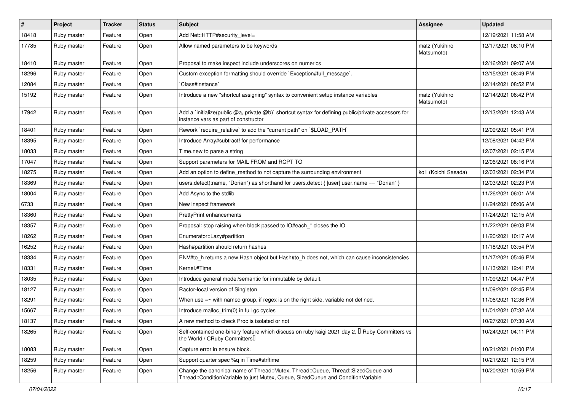| #     | Project     | <b>Tracker</b> | <b>Status</b> | <b>Subject</b>                                                                                                                                                        | <b>Assignee</b>              | <b>Updated</b>      |
|-------|-------------|----------------|---------------|-----------------------------------------------------------------------------------------------------------------------------------------------------------------------|------------------------------|---------------------|
| 18418 | Ruby master | Feature        | Open          | Add Net::HTTP#security_level=                                                                                                                                         |                              | 12/19/2021 11:58 AM |
| 17785 | Ruby master | Feature        | Open          | Allow named parameters to be keywords                                                                                                                                 | matz (Yukihiro<br>Matsumoto) | 12/17/2021 06:10 PM |
| 18410 | Ruby master | Feature        | Open          | Proposal to make inspect include underscores on numerics                                                                                                              |                              | 12/16/2021 09:07 AM |
| 18296 | Ruby master | Feature        | Open          | Custom exception formatting should override `Exception#full_message`.                                                                                                 |                              | 12/15/2021 08:49 PM |
| 12084 | Ruby master | Feature        | Open          | Class#instance`                                                                                                                                                       |                              | 12/14/2021 08:52 PM |
| 15192 | Ruby master | Feature        | Open          | Introduce a new "shortcut assigning" syntax to convenient setup instance variables                                                                                    | matz (Yukihiro<br>Matsumoto) | 12/14/2021 06:42 PM |
| 17942 | Ruby master | Feature        | Open          | Add a `initialize(public @a, private @b)` shortcut syntax for defining public/private accessors for<br>instance vars as part of constructor                           |                              | 12/13/2021 12:43 AM |
| 18401 | Ruby master | Feature        | Open          | Rework `require relative` to add the "current path" on `\$LOAD PATH`                                                                                                  |                              | 12/09/2021 05:41 PM |
| 18395 | Ruby master | Feature        | Open          | Introduce Array#subtract! for performance                                                                                                                             |                              | 12/08/2021 04:42 PM |
| 18033 | Ruby master | Feature        | Open          | Time.new to parse a string                                                                                                                                            |                              | 12/07/2021 02:15 PM |
| 17047 | Ruby master | Feature        | Open          | Support parameters for MAIL FROM and RCPT TO                                                                                                                          |                              | 12/06/2021 08:16 PM |
| 18275 | Ruby master | Feature        | Open          | Add an option to define method to not capture the surrounding environment                                                                                             | ko1 (Koichi Sasada)          | 12/03/2021 02:34 PM |
| 18369 | Ruby master | Feature        | Open          | users.detect(:name, "Dorian") as shorthand for users.detect {  user  user.name == "Dorian" }                                                                          |                              | 12/03/2021 02:23 PM |
| 18004 | Ruby master | Feature        | Open          | Add Async to the stdlib                                                                                                                                               |                              | 11/26/2021 06:01 AM |
| 6733  | Ruby master | Feature        | Open          | New inspect framework                                                                                                                                                 |                              | 11/24/2021 05:06 AM |
| 18360 | Ruby master | Feature        | Open          | <b>PrettyPrint enhancements</b>                                                                                                                                       |                              | 11/24/2021 12:15 AM |
| 18357 | Ruby master | Feature        | Open          | Proposal: stop raising when block passed to IO#each_* closes the IO                                                                                                   |                              | 11/22/2021 09:03 PM |
| 18262 | Ruby master | Feature        | Open          | Enumerator::Lazy#partition                                                                                                                                            |                              | 11/20/2021 10:17 AM |
| 16252 | Ruby master | Feature        | Open          | Hash#partition should return hashes                                                                                                                                   |                              | 11/18/2021 03:54 PM |
| 18334 | Ruby master | Feature        | Open          | ENV#to_h returns a new Hash object but Hash#to_h does not, which can cause inconsistencies                                                                            |                              | 11/17/2021 05:46 PM |
| 18331 | Ruby master | Feature        | Open          | Kernel.#Time                                                                                                                                                          |                              | 11/13/2021 12:41 PM |
| 18035 | Ruby master | Feature        | Open          | Introduce general model/semantic for immutable by default.                                                                                                            |                              | 11/09/2021 04:47 PM |
| 18127 | Ruby master | Feature        | Open          | Ractor-local version of Singleton                                                                                                                                     |                              | 11/09/2021 02:45 PM |
| 18291 | Ruby master | Feature        | Open          | When use $=\sim$ with named group, if regex is on the right side, variable not defined.                                                                               |                              | 11/06/2021 12:36 PM |
| 15667 | Ruby master | Feature        | Open          | Introduce malloc_trim(0) in full gc cycles                                                                                                                            |                              | 11/01/2021 07:32 AM |
| 18137 | Ruby master | Feature        | Open          | A new method to check Proc is isolated or not                                                                                                                         |                              | 10/27/2021 07:30 AM |
| 18265 | Ruby master | Feature        | Open          | Self-contained one-binary feature which discuss on ruby kaigi 2021 day 2, <sup>[]</sup> Ruby Committers vs<br>the World / CRuby Committers                            |                              | 10/24/2021 04:11 PM |
| 18083 | Ruby master | Feature        | Open          | Capture error in ensure block.                                                                                                                                        |                              | 10/21/2021 01:00 PM |
| 18259 | Ruby master | Feature        | Open          | Support quarter spec %q in Time#strftime                                                                                                                              |                              | 10/21/2021 12:15 PM |
| 18256 | Ruby master | Feature        | Open          | Change the canonical name of Thread::Mutex, Thread::Queue, Thread::SizedQueue and<br>Thread::ConditionVariable to just Mutex, Queue, SizedQueue and ConditionVariable |                              | 10/20/2021 10:59 PM |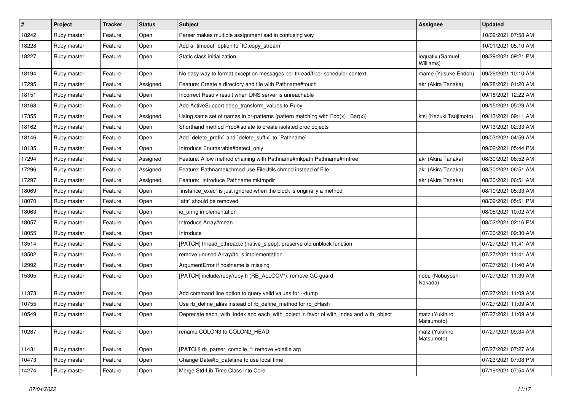| #     | Project     | <b>Tracker</b> | <b>Status</b> | <b>Subject</b>                                                                        | <b>Assignee</b>               | <b>Updated</b>      |
|-------|-------------|----------------|---------------|---------------------------------------------------------------------------------------|-------------------------------|---------------------|
| 18242 | Ruby master | Feature        | Open          | Parser makes multiple assignment sad in confusing way                                 |                               | 10/09/2021 07:58 AM |
| 18228 | Ruby master | Feature        | Open          | Add a 'timeout' option to 'IO.copy_stream'                                            |                               | 10/01/2021 05:10 AM |
| 18227 | Ruby master | Feature        | Open          | Static class initialization.                                                          | ioquatix (Samuel<br>Williams) | 09/29/2021 09:21 PM |
| 18194 | Ruby master | Feature        | Open          | No easy way to format exception messages per thread/fiber scheduler context.          | mame (Yusuke Endoh)           | 09/29/2021 10:10 AM |
| 17295 | Ruby master | Feature        | Assigned      | Feature: Create a directory and file with Pathname#touch                              | akr (Akira Tanaka)            | 09/28/2021 01:20 AM |
| 18151 | Ruby master | Feature        | Open          | Incorrect Resolv result when DNS server is unreachable                                |                               | 09/18/2021 12:22 AM |
| 18168 | Ruby master | Feature        | Open          | Add ActiveSupport deep_transform_values to Ruby                                       |                               | 09/15/2021 05:29 AM |
| 17355 | Ruby master | Feature        | Assigned      | Using same set of names in or-patterns (pattern matching with $Foo(x)   Bar(x)$ )     | ktsj (Kazuki Tsujimoto)       | 09/13/2021 09:11 AM |
| 18162 | Ruby master | Feature        | Open          | Shorthand method Proc#isolate to create isolated proc objects                         |                               | 09/13/2021 02:33 AM |
| 18146 | Ruby master | Feature        | Open          | Add `delete_prefix` and `delete_suffix` to `Pathname`                                 |                               | 09/03/2021 04:59 AM |
| 18135 | Ruby master | Feature        | Open          | Introduce Enumerable#detect only                                                      |                               | 09/02/2021 05:44 PM |
| 17294 | Ruby master | Feature        | Assigned      | Feature: Allow method chaining with Pathname#mkpath Pathname#rmtree                   | akr (Akira Tanaka)            | 08/30/2021 06:52 AM |
| 17296 | Ruby master | Feature        | Assigned      | Feature: Pathname#chmod use FileUtils.chmod instead of File                           | akr (Akira Tanaka)            | 08/30/2021 06:51 AM |
| 17297 | Ruby master | Feature        | Assigned      | Feature: Introduce Pathname.mktmpdir                                                  | akr (Akira Tanaka)            | 08/30/2021 06:51 AM |
| 18069 | Ruby master | Feature        | Open          | instance exec' is just ignored when the block is originally a method                  |                               | 08/10/2021 05:33 AM |
| 18070 | Ruby master | Feature        | Open          | `attr` should be removed                                                              |                               | 08/09/2021 05:51 PM |
| 18063 | Ruby master | Feature        | Open          | io uring implementation                                                               |                               | 08/05/2021 10:02 AM |
| 18057 | Ruby master | Feature        | Open          | Introduce Array#mean                                                                  |                               | 08/02/2021 02:16 PM |
| 18055 | Ruby master | Feature        | Open          | Introduce                                                                             |                               | 07/30/2021 09:30 AM |
| 13514 | Ruby master | Feature        | Open          | [PATCH] thread_pthread.c (native_sleep): preserve old unblock function                |                               | 07/27/2021 11:41 AM |
| 13502 | Ruby master | Feature        | Open          | remove unused Array#to_s implementation                                               |                               | 07/27/2021 11:41 AM |
| 12992 | Ruby master | Feature        | Open          | ArgumentError if hostname is missing                                                  |                               | 07/27/2021 11:40 AM |
| 15305 | Ruby master | Feature        | Open          | [PATCH] include/ruby/ruby.h (RB_ALLOCV*): remove GC guard                             | nobu (Nobuyoshi<br>Nakada)    | 07/27/2021 11:39 AM |
| 11373 | Ruby master | Feature        | Open          | Add command line option to query valid values for --dump                              |                               | 07/27/2021 11:09 AM |
| 10755 | Ruby master | Feature        | Open          | Use rb_define_alias instead of rb_define_method for rb_cHash                          |                               | 07/27/2021 11:09 AM |
| 10549 | Ruby master | Feature        | Open          | Deprecate each_with_index and each_with_object in favor of with_index and with_object | matz (Yukihiro<br>Matsumoto)  | 07/27/2021 11:09 AM |
| 10287 | Ruby master | Feature        | Open          | rename COLON3 to COLON2 HEAD.                                                         | matz (Yukihiro<br>Matsumoto)  | 07/27/2021 09:34 AM |
| 11431 | Ruby master | Feature        | Open          | [PATCH] rb_parser_compile_*: remove volatile arg                                      |                               | 07/27/2021 07:27 AM |
| 10473 | Ruby master | Feature        | Open          | Change Date#to datetime to use local time                                             |                               | 07/23/2021 07:08 PM |
| 14274 | Ruby master | Feature        | Open          | Merge Std-Lib Time Class into Core                                                    |                               | 07/19/2021 07:54 AM |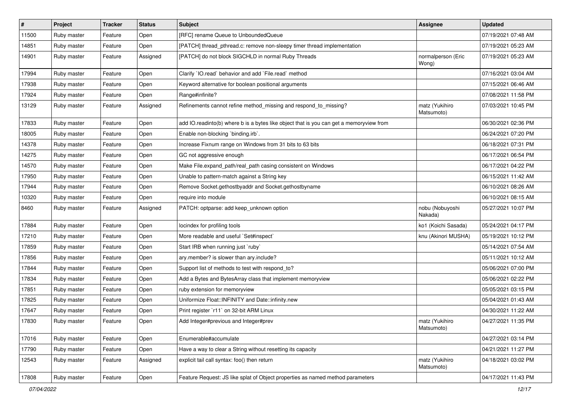| $\sharp$ | Project     | <b>Tracker</b> | <b>Status</b> | <b>Subject</b>                                                                          | <b>Assignee</b>              | <b>Updated</b>      |
|----------|-------------|----------------|---------------|-----------------------------------------------------------------------------------------|------------------------------|---------------------|
| 11500    | Ruby master | Feature        | Open          | [RFC] rename Queue to UnboundedQueue                                                    |                              | 07/19/2021 07:48 AM |
| 14851    | Ruby master | Feature        | Open          | [PATCH] thread_pthread.c: remove non-sleepy timer thread implementation                 |                              | 07/19/2021 05:23 AM |
| 14901    | Ruby master | Feature        | Assigned      | [PATCH] do not block SIGCHLD in normal Ruby Threads                                     | normalperson (Eric<br>Wong)  | 07/19/2021 05:23 AM |
| 17994    | Ruby master | Feature        | Open          | Clarify 'IO.read' behavior and add 'File.read' method                                   |                              | 07/16/2021 03:04 AM |
| 17938    | Ruby master | Feature        | Open          | Keyword alternative for boolean positional arguments                                    |                              | 07/15/2021 06:46 AM |
| 17924    | Ruby master | Feature        | Open          | Range#infinite?                                                                         |                              | 07/08/2021 11:58 PM |
| 13129    | Ruby master | Feature        | Assigned      | Refinements cannot refine method_missing and respond_to_missing?                        | matz (Yukihiro<br>Matsumoto) | 07/03/2021 10:45 PM |
| 17833    | Ruby master | Feature        | Open          | add IO.readinto(b) where b is a bytes like object that is you can get a memoryview from |                              | 06/30/2021 02:36 PM |
| 18005    | Ruby master | Feature        | Open          | Enable non-blocking 'binding.irb'.                                                      |                              | 06/24/2021 07:20 PM |
| 14378    | Ruby master | Feature        | Open          | Increase Fixnum range on Windows from 31 bits to 63 bits                                |                              | 06/18/2021 07:31 PM |
| 14275    | Ruby master | Feature        | Open          | GC not aggressive enough                                                                |                              | 06/17/2021 06:54 PM |
| 14570    | Ruby master | Feature        | Open          | Make File.expand_path/real_path casing consistent on Windows                            |                              | 06/17/2021 04:22 PM |
| 17950    | Ruby master | Feature        | Open          | Unable to pattern-match against a String key                                            |                              | 06/15/2021 11:42 AM |
| 17944    | Ruby master | Feature        | Open          | Remove Socket.gethostbyaddr and Socket.gethostbyname                                    |                              | 06/10/2021 08:26 AM |
| 10320    | Ruby master | Feature        | Open          | require into module                                                                     |                              | 06/10/2021 08:15 AM |
| 8460     | Ruby master | Feature        | Assigned      | PATCH: optparse: add keep_unknown option                                                | nobu (Nobuyoshi<br>Nakada)   | 05/27/2021 10:07 PM |
| 17884    | Ruby master | Feature        | Open          | locindex for profiling tools                                                            | ko1 (Koichi Sasada)          | 05/24/2021 04:17 PM |
| 17210    | Ruby master | Feature        | Open          | More readable and useful `Set#inspect`                                                  | knu (Akinori MUSHA)          | 05/19/2021 10:12 PM |
| 17859    | Ruby master | Feature        | Open          | Start IRB when running just `ruby`                                                      |                              | 05/14/2021 07:54 AM |
| 17856    | Ruby master | Feature        | Open          | ary.member? is slower than ary.include?                                                 |                              | 05/11/2021 10:12 AM |
| 17844    | Ruby master | Feature        | Open          | Support list of methods to test with respond_to?                                        |                              | 05/06/2021 07:00 PM |
| 17834    | Ruby master | Feature        | Open          | Add a Bytes and BytesArray class that implement memoryview                              |                              | 05/06/2021 02:22 PM |
| 17851    | Ruby master | Feature        | Open          | ruby extension for memoryview                                                           |                              | 05/05/2021 03:15 PM |
| 17825    | Ruby master | Feature        | Open          | Uniformize Float::INFINITY and Date::infinity.new                                       |                              | 05/04/2021 01:43 AM |
| 17647    | Ruby master | Feature        | Open          | Print register `r11` on 32-bit ARM Linux                                                |                              | 04/30/2021 11:22 AM |
| 17830    | Ruby master | Feature        | Open          | Add Integer#previous and Integer#prev                                                   | matz (Yukihiro<br>Matsumoto) | 04/27/2021 11:35 PM |
| 17016    | Ruby master | Feature        | Open          | Enumerable#accumulate                                                                   |                              | 04/27/2021 03:14 PM |
| 17790    | Ruby master | Feature        | Open          | Have a way to clear a String without resetting its capacity                             |                              | 04/21/2021 11:27 PM |
| 12543    | Ruby master | Feature        | Assigned      | explicit tail call syntax: foo() then return                                            | matz (Yukihiro<br>Matsumoto) | 04/18/2021 03:02 PM |
| 17808    | Ruby master | Feature        | Open          | Feature Request: JS like splat of Object properties as named method parameters          |                              | 04/17/2021 11:43 PM |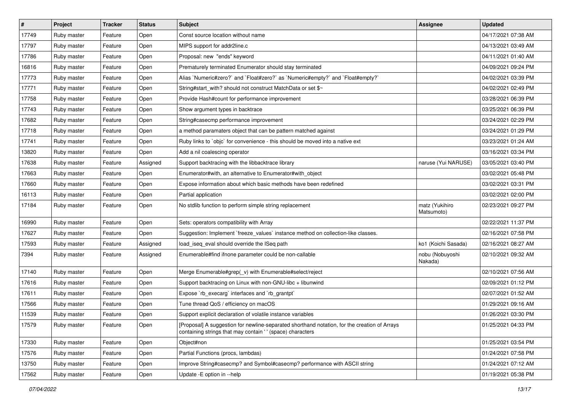| $\vert$ # | Project     | <b>Tracker</b> | <b>Status</b> | <b>Subject</b>                                                                                                                                            | <b>Assignee</b>              | <b>Updated</b>      |
|-----------|-------------|----------------|---------------|-----------------------------------------------------------------------------------------------------------------------------------------------------------|------------------------------|---------------------|
| 17749     | Ruby master | Feature        | Open          | Const source location without name                                                                                                                        |                              | 04/17/2021 07:38 AM |
| 17797     | Ruby master | Feature        | Open          | MIPS support for addr2line.c                                                                                                                              |                              | 04/13/2021 03:49 AM |
| 17786     | Ruby master | Feature        | Open          | Proposal: new "ends" keyword                                                                                                                              |                              | 04/11/2021 01:40 AM |
| 16816     | Ruby master | Feature        | Open          | Prematurely terminated Enumerator should stay terminated                                                                                                  |                              | 04/09/2021 09:24 PM |
| 17773     | Ruby master | Feature        | Open          | Alias `Numeric#zero?` and `Float#zero?` as `Numeric#empty?` and `Float#empty?`                                                                            |                              | 04/02/2021 03:39 PM |
| 17771     | Ruby master | Feature        | Open          | String#start_with? should not construct MatchData or set \$~                                                                                              |                              | 04/02/2021 02:49 PM |
| 17758     | Ruby master | Feature        | Open          | Provide Hash#count for performance improvement                                                                                                            |                              | 03/28/2021 06:39 PM |
| 17743     | Ruby master | Feature        | Open          | Show argument types in backtrace                                                                                                                          |                              | 03/25/2021 06:39 PM |
| 17682     | Ruby master | Feature        | Open          | String#casecmp performance improvement                                                                                                                    |                              | 03/24/2021 02:29 PM |
| 17718     | Ruby master | Feature        | Open          | a method paramaters object that can be pattern matched against                                                                                            |                              | 03/24/2021 01:29 PM |
| 17741     | Ruby master | Feature        | Open          | Ruby links to `objc` for convenience - this should be moved into a native ext                                                                             |                              | 03/23/2021 01:24 AM |
| 13820     | Ruby master | Feature        | Open          | Add a nil coalescing operator                                                                                                                             |                              | 03/16/2021 03:34 PM |
| 17638     | Ruby master | Feature        | Assigned      | Support backtracing with the libbacktrace library                                                                                                         | naruse (Yui NARUSE)          | 03/05/2021 03:40 PM |
| 17663     | Ruby master | Feature        | Open          | Enumerator#with, an alternative to Enumerator#with_object                                                                                                 |                              | 03/02/2021 05:48 PM |
| 17660     | Ruby master | Feature        | Open          | Expose information about which basic methods have been redefined                                                                                          |                              | 03/02/2021 03:31 PM |
| 16113     | Ruby master | Feature        | Open          | Partial application                                                                                                                                       |                              | 03/02/2021 02:00 PM |
| 17184     | Ruby master | Feature        | Open          | No stdlib function to perform simple string replacement                                                                                                   | matz (Yukihiro<br>Matsumoto) | 02/23/2021 09:27 PM |
| 16990     | Ruby master | Feature        | Open          | Sets: operators compatibility with Array                                                                                                                  |                              | 02/22/2021 11:37 PM |
| 17627     | Ruby master | Feature        | Open          | Suggestion: Implement `freeze_values` instance method on collection-like classes.                                                                         |                              | 02/16/2021 07:58 PM |
| 17593     | Ruby master | Feature        | Assigned      | load_iseq_eval should override the ISeq path                                                                                                              | ko1 (Koichi Sasada)          | 02/16/2021 08:27 AM |
| 7394      | Ruby master | Feature        | Assigned      | Enumerable#find ifnone parameter could be non-callable                                                                                                    | nobu (Nobuyoshi<br>Nakada)   | 02/10/2021 09:32 AM |
| 17140     | Ruby master | Feature        | Open          | Merge Enumerable#grep(_v) with Enumerable#select/reject                                                                                                   |                              | 02/10/2021 07:56 AM |
| 17616     | Ruby master | Feature        | Open          | Support backtracing on Linux with non-GNU-libc + libunwind                                                                                                |                              | 02/09/2021 01:12 PM |
| 17611     | Ruby master | Feature        | Open          | Expose `rb_execarg` interfaces and `rb_grantpt`                                                                                                           |                              | 02/07/2021 01:52 AM |
| 17566     | Ruby master | Feature        | Open          | Tune thread QoS / efficiency on macOS                                                                                                                     |                              | 01/29/2021 09:16 AM |
| 11539     | Ruby master | Feature        | Open          | Support explicit declaration of volatile instance variables                                                                                               |                              | 01/26/2021 03:30 PM |
| 17579     | Ruby master | Feature        | Open          | [Proposal] A suggestion for newline-separated shorthand notation, for the creation of Arrays<br>containing strings that may contain '' (space) characters |                              | 01/25/2021 04:33 PM |
| 17330     | Ruby master | Feature        | Open          | Object#non                                                                                                                                                |                              | 01/25/2021 03:54 PM |
| 17576     | Ruby master | Feature        | Open          | Partial Functions (procs, lambdas)                                                                                                                        |                              | 01/24/2021 07:58 PM |
| 13750     | Ruby master | Feature        | Open          | Improve String#casecmp? and Symbol#casecmp? performance with ASCII string                                                                                 |                              | 01/24/2021 07:12 AM |
| 17562     | Ruby master | Feature        | Open          | Update - E option in --help                                                                                                                               |                              | 01/19/2021 05:38 PM |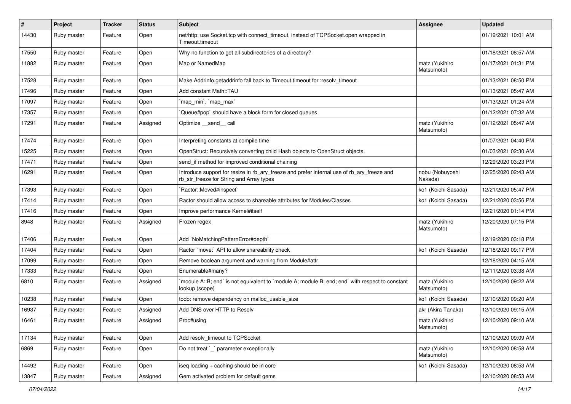| $\vert$ # | Project     | <b>Tracker</b> | <b>Status</b> | Subject                                                                                                                                | Assignee                     | <b>Updated</b>      |
|-----------|-------------|----------------|---------------|----------------------------------------------------------------------------------------------------------------------------------------|------------------------------|---------------------|
| 14430     | Ruby master | Feature        | Open          | net/http: use Socket.tcp with connect_timeout, instead of TCPSocket.open wrapped in<br>Timeout.timeout                                 |                              | 01/19/2021 10:01 AM |
| 17550     | Ruby master | Feature        | Open          | Why no function to get all subdirectories of a directory?                                                                              |                              | 01/18/2021 08:57 AM |
| 11882     | Ruby master | Feature        | Open          | Map or NamedMap                                                                                                                        | matz (Yukihiro<br>Matsumoto) | 01/17/2021 01:31 PM |
| 17528     | Ruby master | Feature        | Open          | Make Addrinfo.getaddrinfo fall back to Timeout.timeout for :resolv timeout                                                             |                              | 01/13/2021 08:50 PM |
| 17496     | Ruby master | Feature        | Open          | Add constant Math::TAU                                                                                                                 |                              | 01/13/2021 05:47 AM |
| 17097     | Ruby master | Feature        | Open          | 'map min', 'map max'                                                                                                                   |                              | 01/13/2021 01:24 AM |
| 17357     | Ruby master | Feature        | Open          | Queue#pop`should have a block form for closed queues                                                                                   |                              | 01/12/2021 07:32 AM |
| 17291     | Ruby master | Feature        | Assigned      | Optimize __send__ call                                                                                                                 | matz (Yukihiro<br>Matsumoto) | 01/12/2021 05:47 AM |
| 17474     | Ruby master | Feature        | Open          | Interpreting constants at compile time                                                                                                 |                              | 01/07/2021 04:40 PM |
| 15225     | Ruby master | Feature        | Open          | OpenStruct: Recursively converting child Hash objects to OpenStruct objects.                                                           |                              | 01/03/2021 02:30 AM |
| 17471     | Ruby master | Feature        | Open          | send_if method for improved conditional chaining                                                                                       |                              | 12/29/2020 03:23 PM |
| 16291     | Ruby master | Feature        | Open          | Introduce support for resize in rb_ary_freeze and prefer internal use of rb_ary_freeze and<br>rb str freeze for String and Array types | nobu (Nobuyoshi<br>Nakada)   | 12/25/2020 02:43 AM |
| 17393     | Ruby master | Feature        | Open          | `Ractor::Moved#inspect`                                                                                                                | ko1 (Koichi Sasada)          | 12/21/2020 05:47 PM |
| 17414     | Ruby master | Feature        | Open          | Ractor should allow access to shareable attributes for Modules/Classes                                                                 | ko1 (Koichi Sasada)          | 12/21/2020 03:56 PM |
| 17416     | Ruby master | Feature        | Open          | Improve performance Kernel#itself                                                                                                      |                              | 12/21/2020 01:14 PM |
| 8948      | Ruby master | Feature        | Assigned      | Frozen regex                                                                                                                           | matz (Yukihiro<br>Matsumoto) | 12/20/2020 07:15 PM |
| 17406     | Ruby master | Feature        | Open          | Add `NoMatchingPatternError#depth`                                                                                                     |                              | 12/19/2020 03:18 PM |
| 17404     | Ruby master | Feature        | Open          | Ractor `move:` API to allow shareability check                                                                                         | ko1 (Koichi Sasada)          | 12/18/2020 09:17 PM |
| 17099     | Ruby master | Feature        | Open          | Remove boolean argument and warning from Module#attr                                                                                   |                              | 12/18/2020 04:15 AM |
| 17333     | Ruby master | Feature        | Open          | Enumerable#many?                                                                                                                       |                              | 12/11/2020 03:38 AM |
| 6810      | Ruby master | Feature        | Assigned      | module A::B; end` is not equivalent to `module A; module B; end; end` with respect to constant<br>lookup (scope)                       | matz (Yukihiro<br>Matsumoto) | 12/10/2020 09:22 AM |
| 10238     | Ruby master | Feature        | Open          | todo: remove dependency on malloc_usable_size                                                                                          | ko1 (Koichi Sasada)          | 12/10/2020 09:20 AM |
| 16937     | Ruby master | Feature        | Assigned      | Add DNS over HTTP to Resolv                                                                                                            | akr (Akira Tanaka)           | 12/10/2020 09:15 AM |
| 16461     | Ruby master | Feature        | Assigned      | Proc#using                                                                                                                             | matz (Yukihiro<br>Matsumoto) | 12/10/2020 09:10 AM |
| 17134     | Ruby master | Feature        | Open          | Add resolv_timeout to TCPSocket                                                                                                        |                              | 12/10/2020 09:09 AM |
| 6869      | Ruby master | Feature        | Open          | Do not treat `_` parameter exceptionally                                                                                               | matz (Yukihiro<br>Matsumoto) | 12/10/2020 08:58 AM |
| 14492     | Ruby master | Feature        | Open          | iseq loading + caching should be in core                                                                                               | ko1 (Koichi Sasada)          | 12/10/2020 08:53 AM |
| 13847     | Ruby master | Feature        | Assigned      | Gem activated problem for default gems                                                                                                 |                              | 12/10/2020 08:53 AM |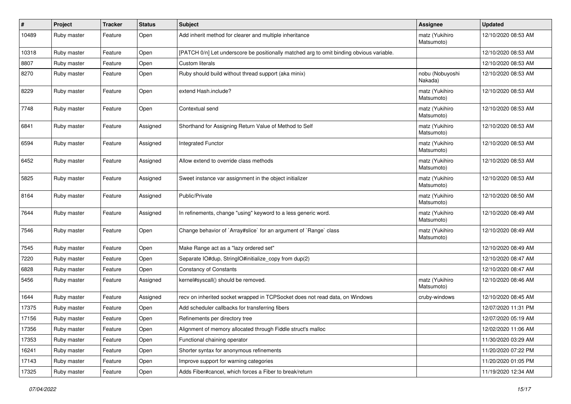| #     | Project     | <b>Tracker</b> | <b>Status</b> | <b>Subject</b>                                                                           | <b>Assignee</b>              | <b>Updated</b>      |
|-------|-------------|----------------|---------------|------------------------------------------------------------------------------------------|------------------------------|---------------------|
| 10489 | Ruby master | Feature        | Open          | Add inherit method for clearer and multiple inheritance                                  | matz (Yukihiro<br>Matsumoto) | 12/10/2020 08:53 AM |
| 10318 | Ruby master | Feature        | Open          | [PATCH 0/n] Let underscore be positionally matched arg to omit binding obvious variable. |                              | 12/10/2020 08:53 AM |
| 8807  | Ruby master | Feature        | Open          | <b>Custom literals</b>                                                                   |                              | 12/10/2020 08:53 AM |
| 8270  | Ruby master | Feature        | Open          | Ruby should build without thread support (aka minix)                                     | nobu (Nobuyoshi<br>Nakada)   | 12/10/2020 08:53 AM |
| 8229  | Ruby master | Feature        | Open          | extend Hash.include?                                                                     | matz (Yukihiro<br>Matsumoto) | 12/10/2020 08:53 AM |
| 7748  | Ruby master | Feature        | Open          | Contextual send                                                                          | matz (Yukihiro<br>Matsumoto) | 12/10/2020 08:53 AM |
| 6841  | Ruby master | Feature        | Assigned      | Shorthand for Assigning Return Value of Method to Self                                   | matz (Yukihiro<br>Matsumoto) | 12/10/2020 08:53 AM |
| 6594  | Ruby master | Feature        | Assigned      | <b>Integrated Functor</b>                                                                | matz (Yukihiro<br>Matsumoto) | 12/10/2020 08:53 AM |
| 6452  | Ruby master | Feature        | Assigned      | Allow extend to override class methods                                                   | matz (Yukihiro<br>Matsumoto) | 12/10/2020 08:53 AM |
| 5825  | Ruby master | Feature        | Assigned      | Sweet instance var assignment in the object initializer                                  | matz (Yukihiro<br>Matsumoto) | 12/10/2020 08:53 AM |
| 8164  | Ruby master | Feature        | Assigned      | Public/Private                                                                           | matz (Yukihiro<br>Matsumoto) | 12/10/2020 08:50 AM |
| 7644  | Ruby master | Feature        | Assigned      | In refinements, change "using" keyword to a less generic word.                           | matz (Yukihiro<br>Matsumoto) | 12/10/2020 08:49 AM |
| 7546  | Ruby master | Feature        | Open          | Change behavior of `Array#slice` for an argument of `Range` class                        | matz (Yukihiro<br>Matsumoto) | 12/10/2020 08:49 AM |
| 7545  | Ruby master | Feature        | Open          | Make Range act as a "lazy ordered set"                                                   |                              | 12/10/2020 08:49 AM |
| 7220  | Ruby master | Feature        | Open          | Separate IO#dup, StringIO#initialize_copy from dup(2)                                    |                              | 12/10/2020 08:47 AM |
| 6828  | Ruby master | Feature        | Open          | <b>Constancy of Constants</b>                                                            |                              | 12/10/2020 08:47 AM |
| 5456  | Ruby master | Feature        | Assigned      | kernel#syscall() should be removed.                                                      | matz (Yukihiro<br>Matsumoto) | 12/10/2020 08:46 AM |
| 1644  | Ruby master | Feature        | Assigned      | recv on inherited socket wrapped in TCPSocket does not read data, on Windows             | cruby-windows                | 12/10/2020 08:45 AM |
| 17375 | Ruby master | Feature        | Open          | Add scheduler callbacks for transferring fibers                                          |                              | 12/07/2020 11:31 PM |
| 17156 | Ruby master | Feature        | Open          | Refinements per directory tree                                                           |                              | 12/07/2020 05:19 AM |
| 17356 | Ruby master | Feature        | Open          | Alignment of memory allocated through Fiddle struct's malloc                             |                              | 12/02/2020 11:06 AM |
| 17353 | Ruby master | Feature        | Open          | Functional chaining operator                                                             |                              | 11/30/2020 03:29 AM |
| 16241 | Ruby master | Feature        | Open          | Shorter syntax for anonymous refinements                                                 |                              | 11/20/2020 07:22 PM |
| 17143 | Ruby master | Feature        | Open          | Improve support for warning categories                                                   |                              | 11/20/2020 01:05 PM |
| 17325 | Ruby master | Feature        | Open          | Adds Fiber#cancel, which forces a Fiber to break/return                                  |                              | 11/19/2020 12:34 AM |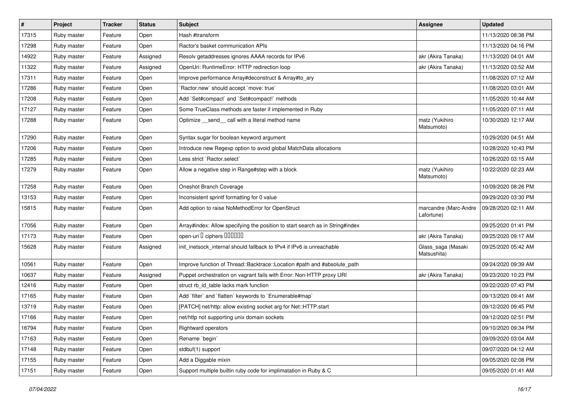| #     | Project     | <b>Tracker</b> | <b>Status</b> | <b>Subject</b>                                                                | <b>Assignee</b>                     | <b>Updated</b>      |
|-------|-------------|----------------|---------------|-------------------------------------------------------------------------------|-------------------------------------|---------------------|
| 17315 | Ruby master | Feature        | Open          | Hash #transform                                                               |                                     | 11/13/2020 08:38 PM |
| 17298 | Ruby master | Feature        | Open          | Ractor's basket communication APIs                                            |                                     | 11/13/2020 04:16 PM |
| 14922 | Ruby master | Feature        | Assigned      | Resolv getaddresses ignores AAAA records for IPv6                             | akr (Akira Tanaka)                  | 11/13/2020 04:01 AM |
| 11322 | Ruby master | Feature        | Assigned      | OpenUri: RuntimeError: HTTP redirection loop                                  | akr (Akira Tanaka)                  | 11/13/2020 03:52 AM |
| 17311 | Ruby master | Feature        | Open          | Improve performance Array#deconstruct & Array#to_ary                          |                                     | 11/08/2020 07:12 AM |
| 17286 | Ruby master | Feature        | Open          | Ractor.new' should accept 'move: true'                                        |                                     | 11/08/2020 03:01 AM |
| 17208 | Ruby master | Feature        | Open          | Add `Set#compact` and `Set#compact!` methods                                  |                                     | 11/05/2020 10:44 AM |
| 17127 | Ruby master | Feature        | Open          | Some TrueClass methods are faster if implemented in Ruby                      |                                     | 11/05/2020 07:11 AM |
| 17288 | Ruby master | Feature        | Open          | Optimize _send_ call with a literal method name                               | matz (Yukihiro<br>Matsumoto)        | 10/30/2020 12:17 AM |
| 17290 | Ruby master | Feature        | Open          | Syntax sugar for boolean keyword argument                                     |                                     | 10/29/2020 04:51 AM |
| 17206 | Ruby master | Feature        | Open          | Introduce new Regexp option to avoid global MatchData allocations             |                                     | 10/28/2020 10:43 PM |
| 17285 | Ruby master | Feature        | Open          | Less strict `Ractor.select`                                                   |                                     | 10/26/2020 03:15 AM |
| 17279 | Ruby master | Feature        | Open          | Allow a negative step in Range#step with a block                              | matz (Yukihiro<br>Matsumoto)        | 10/22/2020 02:23 AM |
| 17258 | Ruby master | Feature        | Open          | Oneshot Branch Coverage                                                       |                                     | 10/09/2020 08:26 PM |
| 13153 | Ruby master | Feature        | Open          | Inconsistent sprintf formatting for 0 value                                   |                                     | 09/29/2020 03:30 PM |
| 15815 | Ruby master | Feature        | Open          | Add option to raise NoMethodError for OpenStruct                              | marcandre (Marc-Andre<br>Lafortune) | 09/28/2020 02:11 AM |
| 17056 | Ruby master | Feature        | Open          | Array#index: Allow specifying the position to start search as in String#index |                                     | 09/25/2020 01:41 PM |
| 17173 | Ruby master | Feature        | Open          | open-uri I ciphers IIIIIII                                                    | akr (Akira Tanaka)                  | 09/25/2020 09:17 AM |
| 15628 | Ruby master | Feature        | Assigned      | init_inetsock_internal should fallback to IPv4 if IPv6 is unreachable         | Glass_saga (Masaki<br>Matsushita)   | 09/25/2020 05:42 AM |
| 10561 | Ruby master | Feature        | Open          | Improve function of Thread::Backtrace::Location #path and #absolute_path      |                                     | 09/24/2020 09:39 AM |
| 10637 | Ruby master | Feature        | Assigned      | Puppet orchestration on vagrant fails with Error: Non-HTTP proxy URI          | akr (Akira Tanaka)                  | 09/23/2020 10:23 PM |
| 12416 | Ruby master | Feature        | Open          | struct rb_id_table lacks mark function                                        |                                     | 09/22/2020 07:43 PM |
| 17165 | Ruby master | Feature        | Open          | Add `filter` and `flatten` keywords to `Enumerable#map`                       |                                     | 09/13/2020 09:41 AM |
| 13719 | Ruby master | Feature        | Open          | [PATCH] net/http: allow existing socket arg for Net::HTTP.start               |                                     | 09/12/2020 09:45 PM |
| 17166 | Ruby master | Feature        | Open          | net/http not supporting unix domain sockets                                   |                                     | 09/12/2020 02:51 PM |
| 16794 | Ruby master | Feature        | Open          | Rightward operators                                                           |                                     | 09/10/2020 09:34 PM |
| 17163 | Ruby master | Feature        | Open          | Rename `begin`                                                                |                                     | 09/09/2020 03:04 AM |
| 17148 | Ruby master | Feature        | Open          | stdbuf(1) support                                                             |                                     | 09/07/2020 04:12 AM |
| 17155 | Ruby master | Feature        | Open          | Add a Diggable mixin                                                          |                                     | 09/05/2020 02:08 PM |
| 17151 | Ruby master | Feature        | Open          | Support multiple builtin ruby code for implimatation in Ruby & C              |                                     | 09/05/2020 01:41 AM |